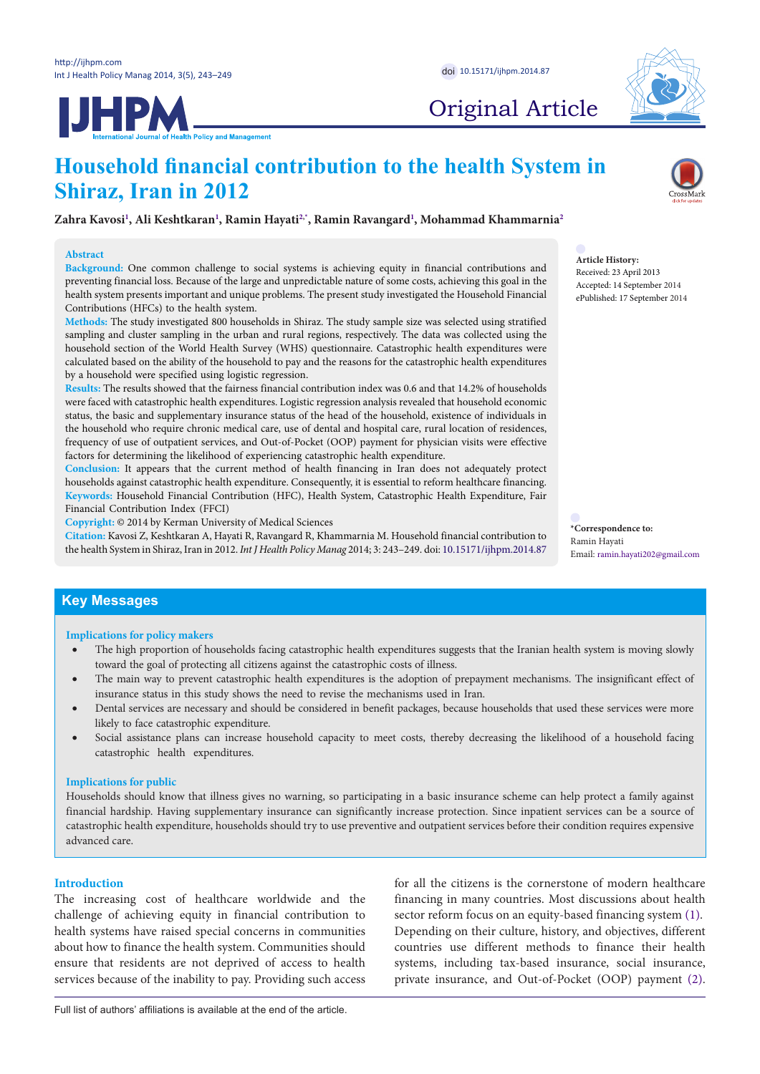**IJHPM** 



Original Article

# **Household financial contribution to the health System in Shiraz, Iran in 2012**

**Zahra Kavos[i1](#page-5-0) , Ali Keshtkaran[1](#page-5-0) , Ramin Hayat[i2](#page-5-1),[\\*](#page-0-0) , Ramin Ravangard[1](#page-5-0) , Mohammad Khammarnia[2](#page-5-1)**

#### **Abstract**

**Background:** One common challenge to social systems is achieving equity in financial contributions and preventing financial loss. Because of the large and unpredictable nature of some costs, achieving this goal in the health system presents important and unique problems. The present study investigated the Household Financial Contributions (HFCs) to the health system.

**Methods:** The study investigated 800 households in Shiraz. The study sample size was selected using stratified sampling and cluster sampling in the urban and rural regions, respectively. The data was collected using the household section of the World Health Survey (WHS) questionnaire. Catastrophic health expenditures were calculated based on the ability of the household to pay and the reasons for the catastrophic health expenditures by a household were specified using logistic regression.

**Results:** The results showed that the fairness financial contribution index was 0.6 and that 14.2% of households were faced with catastrophic health expenditures. Logistic regression analysis revealed that household economic status, the basic and supplementary insurance status of the head of the household, existence of individuals in the household who require chronic medical care, use of dental and hospital care, rural location of residences, frequency of use of outpatient services, and Out-of-Pocket (OOP) payment for physician visits were effective factors for determining the likelihood of experiencing catastrophic health expenditure.

**Conclusion:** It appears that the current method of health financing in Iran does not adequately protect households against catastrophic health expenditure. Consequently, it is essential to reform healthcare financing. **Keywords:** Household Financial Contribution (HFC), Health System, Catastrophic Health Expenditure, Fair Financial Contribution Index (FFCI)

**Copyright:** © 2014 by Kerman University of Medical Sciences

**Citation:** Kavosi Z, Keshtkaran A, Hayati R, Ravangard R, Khammarnia M. Household financial contribution to the health System in Shiraz, Iran in 2012. *Int J Health Policy Manag* 2014; 3: 243–249. doi: [10.15171/ijhpm.2014.87](http://dx.doi.org/10.15171/ijhpm.2014.87) **Article History:** Received: 23 April 2013 Accepted: 14 September 2014 ePublished: 17 September 2014

<span id="page-0-0"></span>**\*Correspondence to:** Ramin Hayati Email: ramin.hayati202@gmail.com

# **Key Messages**

#### **Implications for policy makers**

- The high proportion of households facing catastrophic health expenditures suggests that the Iranian health system is moving slowly toward the goal of protecting all citizens against the catastrophic costs of illness.
- The main way to prevent catastrophic health expenditures is the adoption of prepayment mechanisms. The insignificant effect of insurance status in this study shows the need to revise the mechanisms used in Iran.
- Dental services are necessary and should be considered in benefit packages, because households that used these services were more likely to face catastrophic expenditure.
- Social assistance plans can increase household capacity to meet costs, thereby decreasing the likelihood of a household facing catastrophic health expenditures.

## **Implications for public**

Households should know that illness gives no warning, so participating in a basic insurance scheme can help protect a family against financial hardship. Having supplementary insurance can significantly increase protection. Since inpatient services can be a source of catastrophic health expenditure, households should try to use preventive and outpatient services before their condition requires expensive advanced care.

# **Introduction**

The increasing cost of healthcare worldwide and the challenge of achieving equity in financial contribution to health systems have raised special concerns in communities about how to finance the health system. Communities should ensure that residents are not deprived of access to health services because of the inability to pay. Providing such access

for all the citizens is the cornerstone of modern healthcare financing in many countries. Most discussions about health sector reform focus on an equity-based financing system [\(1](#page-5-2)). Depending on their culture, history, and objectives, different countries use different methods to finance their health systems, including tax-based insurance, social insurance, private insurance, and Out-of-Pocket (OOP) payment [\(2](#page-5-3)).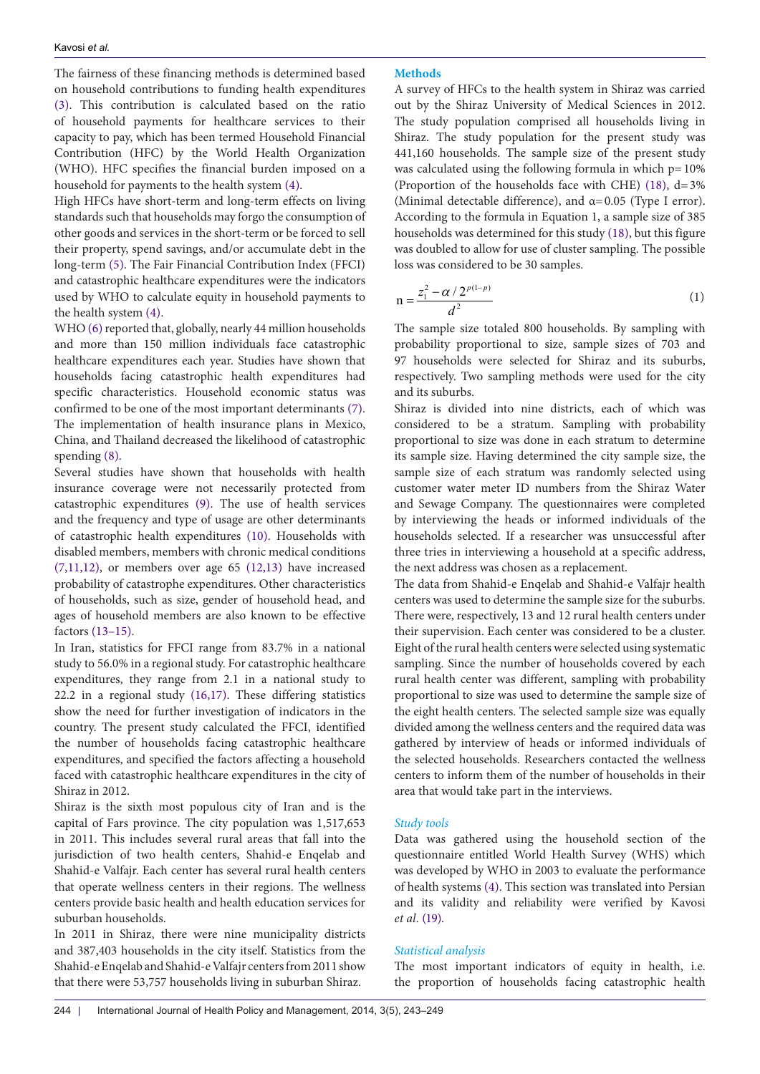The fairness of these financing methods is determined based on household contributions to funding health expenditures ([3\)](#page-5-4). This contribution is calculated based on the ratio of household payments for healthcare services to their capacity to pay, which has been termed Household Financial Contribution (HFC) by the World Health Organization (WHO). HFC specifies the financial burden imposed on a household for payments to the health system ([4](#page-5-5)).

High HFCs have short-term and long-term effects on living standards such that households may forgo the consumption of other goods and services in the short-term or be forced to sell their property, spend savings, and/or accumulate debt in the long-term ([5\)](#page-6-0). The Fair Financial Contribution Index (FFCI) and catastrophic healthcare expenditures were the indicators used by WHO to calculate equity in household payments to the health system ([4](#page-5-5)).

WHO [\(6](#page-6-1)) reported that, globally, nearly 44 million households and more than 150 million individuals face catastrophic healthcare expenditures each year. Studies have shown that households facing catastrophic health expenditures had specific characteristics. Household economic status was confirmed to be one of the most important determinants ([7\)](#page-6-2). The implementation of health insurance plans in Mexico, China, and Thailand decreased the likelihood of catastrophic spending ([8\)](#page-6-3).

Several studies have shown that households with health insurance coverage were not necessarily protected from catastrophic expenditures ([9](#page-6-4)). The use of health services and the frequency and type of usage are other determinants of catastrophic health expenditures ([10](#page-6-5)). Households with disabled members, members with chronic medical conditions  $(7,11,12)$  $(7,11,12)$  $(7,11,12)$  $(7,11,12)$ , or members over age 65  $(12,13)$  $(12,13)$  have increased probability of catastrophe expenditures. Other characteristics of households, such as size, gender of household head, and ages of household members are also known to be effective factors [\(13–](#page-6-8)[15\)](#page-6-9).

In Iran, statistics for FFCI range from 83.7% in a national study to 56.0% in a regional study. For catastrophic healthcare expenditures, they range from 2.1 in a national study to 22.2 in a regional study ([16](#page-6-10),[17](#page-6-11)). These differing statistics show the need for further investigation of indicators in the country. The present study calculated the FFCI, identified the number of households facing catastrophic healthcare expenditures, and specified the factors affecting a household faced with catastrophic healthcare expenditures in the city of Shiraz in 2012.

Shiraz is the sixth most populous city of Iran and is the capital of Fars province. The city population was 1,517,653 in 2011. This includes several rural areas that fall into the jurisdiction of two health centers, Shahid-e Enqelab and Shahid-e Valfajr. Each center has several rural health centers that operate wellness centers in their regions. The wellness centers provide basic health and health education services for suburban households.

In 2011 in Shiraz, there were nine municipality districts and 387,403 households in the city itself. Statistics from the Shahid-e Enqelab and Shahid-e Valfajr centers from 2011 show that there were 53,757 households living in suburban Shiraz.

## **Methods**

A survey of HFCs to the health system in Shiraz was carried out by the Shiraz University of Medical Sciences in 2012. The study population comprised all households living in Shiraz. The study population for the present study was 441,160 households. The sample size of the present study was calculated using the following formula in which  $p=10%$ (Proportion of the households face with CHE) [\(18\)](#page-6-12), d=3% (Minimal detectable difference), and  $\alpha$ =0.05 (Type I error). According to the formula in Equation 1, a sample size of 385 households was determined for this study ([18](#page-6-12)), but this figure was doubled to allow for use of cluster sampling. The possible loss was considered to be 30 samples.

$$
n = \frac{z_1^2 - \alpha / 2^{p(1-p)}}{d^2}
$$
 (1)

The sample size totaled 800 households. By sampling with probability proportional to size, sample sizes of 703 and 97 households were selected for Shiraz and its suburbs, respectively. Two sampling methods were used for the city and its suburbs.

Shiraz is divided into nine districts, each of which was considered to be a stratum. Sampling with probability proportional to size was done in each stratum to determine its sample size. Having determined the city sample size, the sample size of each stratum was randomly selected using customer water meter ID numbers from the Shiraz Water and Sewage Company. The questionnaires were completed by interviewing the heads or informed individuals of the households selected. If a researcher was unsuccessful after three tries in interviewing a household at a specific address, the next address was chosen as a replacement.

The data from Shahid-e Enqelab and Shahid-e Valfajr health centers was used to determine the sample size for the suburbs. There were, respectively, 13 and 12 rural health centers under their supervision. Each center was considered to be a cluster. Eight of the rural health centers were selected using systematic sampling. Since the number of households covered by each rural health center was different, sampling with probability proportional to size was used to determine the sample size of the eight health centers. The selected sample size was equally divided among the wellness centers and the required data was gathered by interview of heads or informed individuals of the selected households. Researchers contacted the wellness centers to inform them of the number of households in their area that would take part in the interviews.

# *Study tools*

Data was gathered using the household section of the questionnaire entitled World Health Survey (WHS) which was developed by WHO in 2003 to evaluate the performance of health systems ([4\)](#page-5-5). This section was translated into Persian and its validity and reliability were verified by Kavosi *et al.* [\(19\)](#page-6-13).

# *Statistical analysis*

The most important indicators of equity in health, i.e. the proportion of households facing catastrophic health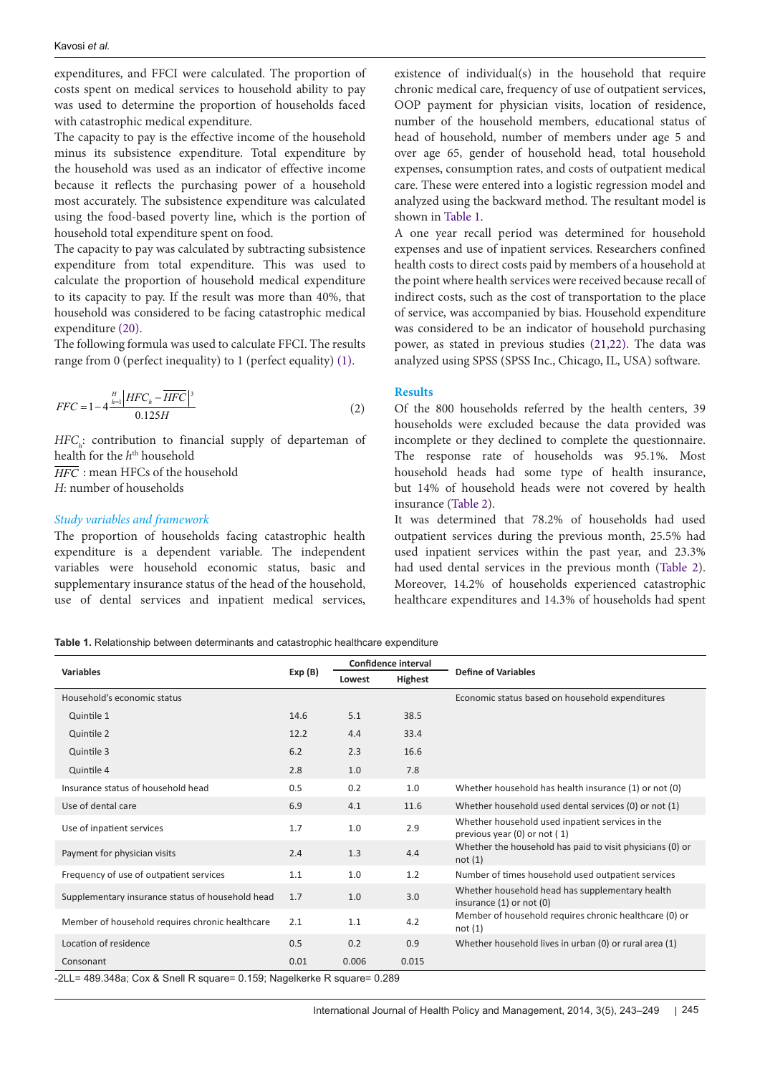expenditures, and FFCI were calculated. The proportion of costs spent on medical services to household ability to pay was used to determine the proportion of households faced with catastrophic medical expenditure.

The capacity to pay is the effective income of the household minus its subsistence expenditure. Total expenditure by the household was used as an indicator of effective income because it reflects the purchasing power of a household most accurately. The subsistence expenditure was calculated using the food-based poverty line, which is the portion of household total expenditure spent on food.

The capacity to pay was calculated by subtracting subsistence expenditure from total expenditure. This was used to calculate the proportion of household medical expenditure to its capacity to pay. If the result was more than 40%, that household was considered to be facing catastrophic medical expenditure [\(20\)](#page-6-14).

The following formula was used to calculate FFCI. The results range from 0 (perfect inequality) to 1 (perfect equality) ([1](#page-5-2)).

$$
FFC = 1 - 4 \frac{\frac{H}{h=1} |HFC_h - \overline{HFC}|^3}{0.125H}
$$
 (2)

*HFC*<sub>*i*</sub>: contribution to financial supply of departeman of health for the *h*th household *HFC* : mean HFCs of the household

*H*: number of households

## *Study variables and framework*

The proportion of households facing catastrophic health expenditure is a dependent variable. The independent variables were household economic status, basic and supplementary insurance status of the head of the household, use of dental services and inpatient medical services, existence of individual(s) in the household that require chronic medical care, frequency of use of outpatient services, OOP payment for physician visits, location of residence, number of the household members, educational status of head of household, number of members under age 5 and over age 65, gender of household head, total household expenses, consumption rates, and costs of outpatient medical care. These were entered into a logistic regression model and analyzed using the backward method. The resultant model is shown in [Table 1](#page-2-0).

A one year recall period was determined for household expenses and use of inpatient services. Researchers confined health costs to direct costs paid by members of a household at the point where health services were received because recall of indirect costs, such as the cost of transportation to the place of service, was accompanied by bias. Household expenditure was considered to be an indicator of household purchasing power, as stated in previous studies ([21](#page-6-15),[22](#page-6-16)). The data was analyzed using SPSS (SPSS Inc., Chicago, IL, USA) software.

#### **Results**

Of the 800 households referred by the health centers, 39 households were excluded because the data provided was incomplete or they declined to complete the questionnaire. The response rate of households was 95.1%. Most household heads had some type of health insurance, but 14% of household heads were not covered by health insurance ([Table 2](#page-3-0)).

It was determined that 78.2% of households had used outpatient services during the previous month, 25.5% had used inpatient services within the past year, and 23.3% had used dental services in the previous month ([Table 2](#page-3-0)). Moreover, 14.2% of households experienced catastrophic healthcare expenditures and 14.3% of households had spent

<span id="page-2-0"></span>**Table 1.** Relationship between determinants and catastrophic healthcare expenditure

| <b>Variables</b>                                 | Exp(B) | <b>Confidence interval</b> |         |                                                                                  |  |
|--------------------------------------------------|--------|----------------------------|---------|----------------------------------------------------------------------------------|--|
|                                                  |        | Lowest                     | Highest | <b>Define of Variables</b>                                                       |  |
| Household's economic status                      |        |                            |         | Economic status based on household expenditures                                  |  |
| Quintile 1                                       | 14.6   | 5.1                        | 38.5    |                                                                                  |  |
| Quintile 2                                       | 12.2   | 4.4                        | 33.4    |                                                                                  |  |
| Quintile 3                                       | 6.2    | 2.3                        | 16.6    |                                                                                  |  |
| Quintile 4                                       | 2.8    | 1.0                        | 7.8     |                                                                                  |  |
| Insurance status of household head               | 0.5    | 0.2                        | 1.0     | Whether household has health insurance (1) or not (0)                            |  |
| Use of dental care                               | 6.9    | 4.1                        | 11.6    | Whether household used dental services (0) or not (1)                            |  |
| Use of inpatient services                        | 1.7    | 1.0                        | 2.9     | Whether household used inpatient services in the<br>previous year (0) or not (1) |  |
| Payment for physician visits                     | 2.4    | 1.3                        | 4.4     | Whether the household has paid to visit physicians (0) or<br>not(1)              |  |
| Frequency of use of outpatient services          | 1.1    | 1.0                        | 1.2     | Number of times household used outpatient services                               |  |
| Supplementary insurance status of household head | 1.7    | 1.0                        | 3.0     | Whether household head has supplementary health<br>insurance $(1)$ or not $(0)$  |  |
| Member of household requires chronic healthcare  | 2.1    | 1.1                        | 4.2     | Member of household requires chronic healthcare (0) or<br>not(1)                 |  |
| Location of residence                            | 0.5    | 0.2                        | 0.9     | Whether household lives in urban (0) or rural area (1)                           |  |
| Consonant<br>$\sim$ $\sim$ $\sim$ $\sim$ $\sim$  | 0.01   | 0.006                      | 0.015   |                                                                                  |  |

-2LL= 489.348a; Cox & Snell R square= 0.159; Nagelkerke R square= 0.289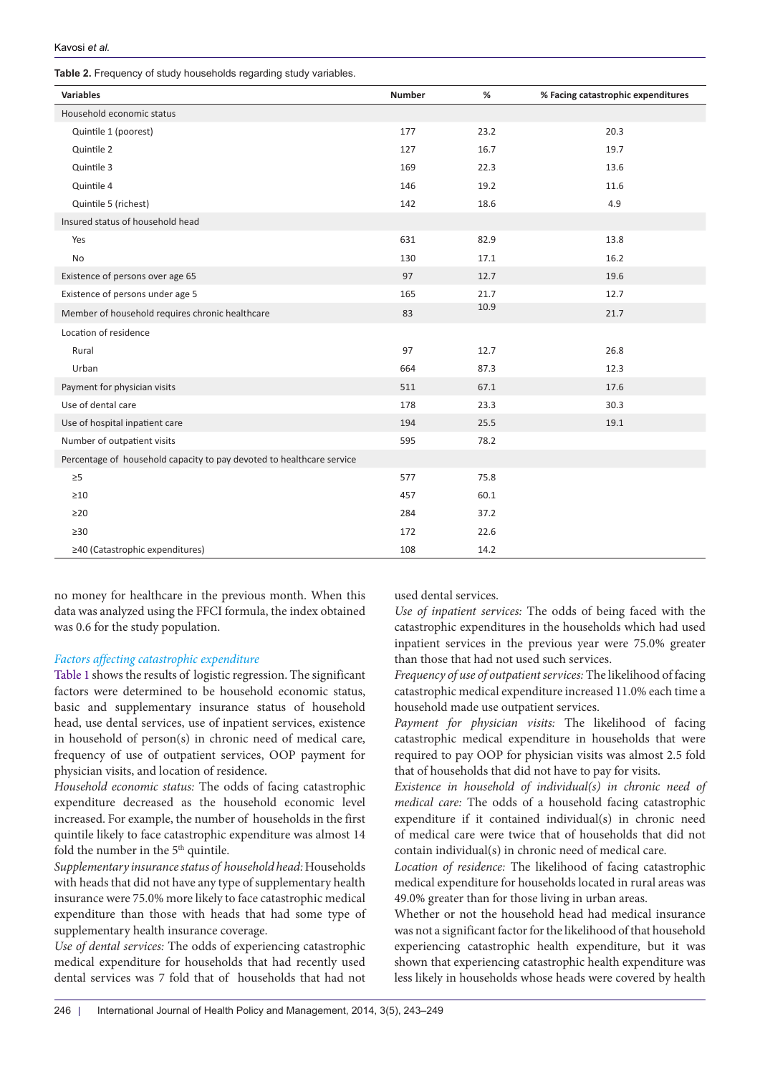<span id="page-3-0"></span>**Table 2.** Frequency of study households regarding study variables.

| <b>Variables</b>                                                      | Number | $\%$ | % Facing catastrophic expenditures |
|-----------------------------------------------------------------------|--------|------|------------------------------------|
| Household economic status                                             |        |      |                                    |
| Quintile 1 (poorest)                                                  | 177    | 23.2 | 20.3                               |
| Quintile 2                                                            | 127    | 16.7 | 19.7                               |
| Quintile 3                                                            | 169    | 22.3 | 13.6                               |
| Quintile 4                                                            | 146    | 19.2 | 11.6                               |
| Quintile 5 (richest)                                                  | 142    | 18.6 | 4.9                                |
| Insured status of household head                                      |        |      |                                    |
| Yes                                                                   | 631    | 82.9 | 13.8                               |
| No                                                                    | 130    | 17.1 | 16.2                               |
| Existence of persons over age 65                                      | 97     | 12.7 | 19.6                               |
| Existence of persons under age 5                                      | 165    | 21.7 | 12.7                               |
| Member of household requires chronic healthcare                       | 83     | 10.9 | 21.7                               |
| Location of residence                                                 |        |      |                                    |
| Rural                                                                 | 97     | 12.7 | 26.8                               |
| Urban                                                                 | 664    | 87.3 | 12.3                               |
| Payment for physician visits                                          | 511    | 67.1 | 17.6                               |
| Use of dental care                                                    | 178    | 23.3 | 30.3                               |
| Use of hospital inpatient care                                        | 194    | 25.5 | 19.1                               |
| Number of outpatient visits                                           | 595    | 78.2 |                                    |
| Percentage of household capacity to pay devoted to healthcare service |        |      |                                    |
| $\geq 5$                                                              | 577    | 75.8 |                                    |
| $\geq$ 10                                                             | 457    | 60.1 |                                    |
| $\geq$ 20                                                             | 284    | 37.2 |                                    |
| $\geq 30$                                                             | 172    | 22.6 |                                    |
| ≥40 (Catastrophic expenditures)                                       | 108    | 14.2 |                                    |

no money for healthcare in the previous month. When this data was analyzed using the FFCI formula, the index obtained was 0.6 for the study population.

## *Factors affecting catastrophic expenditure*

[Table 1](#page-2-0) shows the results of logistic regression. The significant factors were determined to be household economic status, basic and supplementary insurance status of household head, use dental services, use of inpatient services, existence in household of person(s) in chronic need of medical care, frequency of use of outpatient services, OOP payment for physician visits, and location of residence.

*Household economic status:* The odds of facing catastrophic expenditure decreased as the household economic level increased. For example, the number of households in the first quintile likely to face catastrophic expenditure was almost 14 fold the number in the 5<sup>th</sup> quintile.

*Supplementary insurance status of household head:* Households with heads that did not have any type of supplementary health insurance were 75.0% more likely to face catastrophic medical expenditure than those with heads that had some type of supplementary health insurance coverage.

*Use of dental services:* The odds of experiencing catastrophic medical expenditure for households that had recently used dental services was 7 fold that of households that had not used dental services.

*Use of inpatient services:* The odds of being faced with the catastrophic expenditures in the households which had used inpatient services in the previous year were 75.0% greater than those that had not used such services.

*Frequency of use of outpatient services:* The likelihood of facing catastrophic medical expenditure increased 11.0% each time a household made use outpatient services.

*Payment for physician visits:* The likelihood of facing catastrophic medical expenditure in households that were required to pay OOP for physician visits was almost 2.5 fold that of households that did not have to pay for visits.

*Existence in household of individual(s) in chronic need of medical care:* The odds of a household facing catastrophic expenditure if it contained individual(s) in chronic need of medical care were twice that of households that did not contain individual(s) in chronic need of medical care.

*Location of residence:* The likelihood of facing catastrophic medical expenditure for households located in rural areas was 49.0% greater than for those living in urban areas.

Whether or not the household head had medical insurance was not a significant factor for the likelihood of that household experiencing catastrophic health expenditure, but it was shown that experiencing catastrophic health expenditure was less likely in households whose heads were covered by health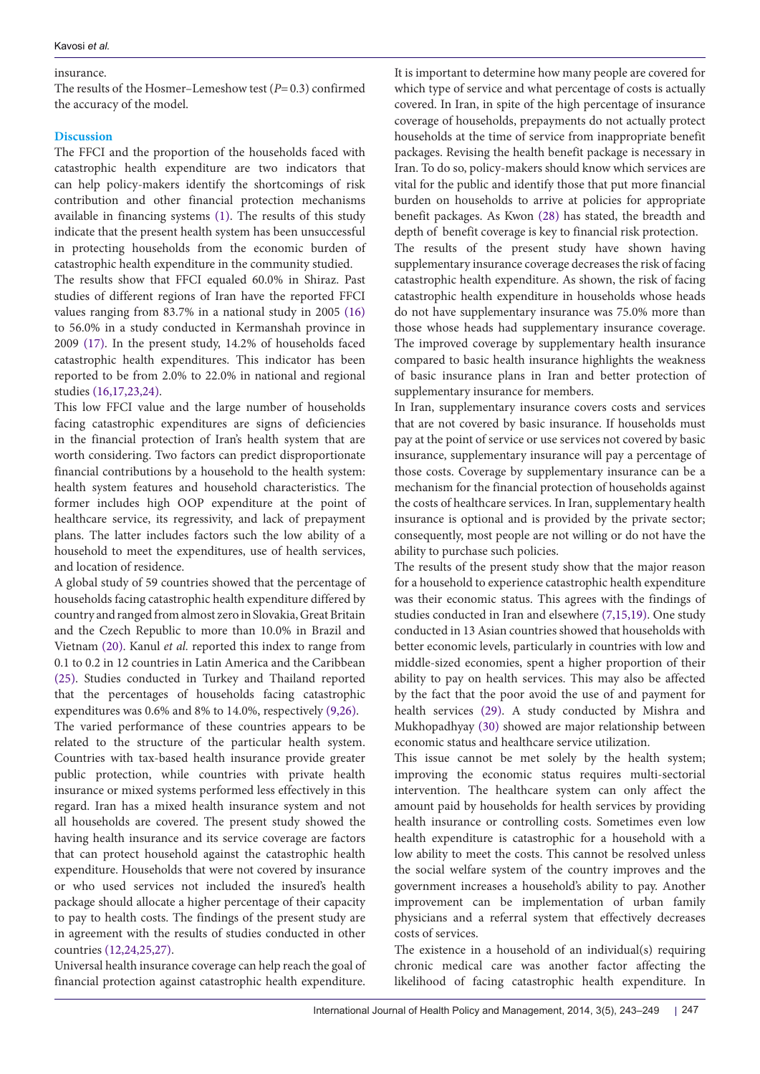# insurance.

The results of the Hosmer–Lemeshow test (*P*=0.3) confirmed the accuracy of the model.

# **Discussion**

The FFCI and the proportion of the households faced with catastrophic health expenditure are two indicators that can help policy-makers identify the shortcomings of risk contribution and other financial protection mechanisms available in financing systems ([1\)](#page-5-2). The results of this study indicate that the present health system has been unsuccessful in protecting households from the economic burden of catastrophic health expenditure in the community studied.

The results show that FFCI equaled 60.0% in Shiraz. Past studies of different regions of Iran have the reported FFCI values ranging from 83.7% in a national study in 2005 [\(16\)](#page-6-10) to 56.0% in a study conducted in Kermanshah province in 2009 ([17](#page-6-11)). In the present study, 14.2% of households faced catastrophic health expenditures. This indicator has been reported to be from 2.0% to 22.0% in national and regional studies [\(16,](#page-6-10)[17](#page-6-11),[23](#page-6-17),[24](#page-6-18)).

This low FFCI value and the large number of households facing catastrophic expenditures are signs of deficiencies in the financial protection of Iran's health system that are worth considering. Two factors can predict disproportionate financial contributions by a household to the health system: health system features and household characteristics. The former includes high OOP expenditure at the point of healthcare service, its regressivity, and lack of prepayment plans. The latter includes factors such the low ability of a household to meet the expenditures, use of health services, and location of residence.

A global study of 59 countries showed that the percentage of households facing catastrophic health expenditure differed by country and ranged from almost zero in Slovakia, Great Britain and the Czech Republic to more than 10.0% in Brazil and Vietnam [\(20\)](#page-6-14). Kanul *et al.* reported this index to range from 0.1 to 0.2 in 12 countries in Latin America and the Caribbean ([25\)](#page-6-19). Studies conducted in Turkey and Thailand reported that the percentages of households facing catastrophic expenditures was 0.6% and 8% to 14.0%, respectively ([9,](#page-6-4)[26\)](#page-6-20). The varied performance of these countries appears to be related to the structure of the particular health system. Countries with tax-based health insurance provide greater public protection, while countries with private health insurance or mixed systems performed less effectively in this regard. Iran has a mixed health insurance system and not all households are covered. The present study showed the having health insurance and its service coverage are factors that can protect household against the catastrophic health expenditure. Households that were not covered by insurance or who used services not included the insured's health package should allocate a higher percentage of their capacity to pay to health costs. The findings of the present study are in agreement with the results of studies conducted in other countries ([12](#page-6-7)[,24](#page-6-18)[,25](#page-6-19)[,27\)](#page-6-21).

Universal health insurance coverage can help reach the goal of financial protection against catastrophic health expenditure.

It is important to determine how many people are covered for which type of service and what percentage of costs is actually covered. In Iran, in spite of the high percentage of insurance coverage of households, prepayments do not actually protect households at the time of service from inappropriate benefit packages. Revising the health benefit package is necessary in Iran. To do so, policy-makers should know which services are vital for the public and identify those that put more financial burden on households to arrive at policies for appropriate benefit packages. As Kwon [\(28\)](#page-6-22) has stated, the breadth and depth of benefit coverage is key to financial risk protection.

The results of the present study have shown having supplementary insurance coverage decreases the risk of facing catastrophic health expenditure. As shown, the risk of facing catastrophic health expenditure in households whose heads do not have supplementary insurance was 75.0% more than those whose heads had supplementary insurance coverage. The improved coverage by supplementary health insurance compared to basic health insurance highlights the weakness of basic insurance plans in Iran and better protection of supplementary insurance for members.

In Iran, supplementary insurance covers costs and services that are not covered by basic insurance. If households must pay at the point of service or use services not covered by basic insurance, supplementary insurance will pay a percentage of those costs. Coverage by supplementary insurance can be a mechanism for the financial protection of households against the costs of healthcare services. In Iran, supplementary health insurance is optional and is provided by the private sector; consequently, most people are not willing or do not have the ability to purchase such policies.

The results of the present study show that the major reason for a household to experience catastrophic health expenditure was their economic status. This agrees with the findings of studies conducted in Iran and elsewhere [\(7,](#page-6-2)[15,](#page-6-9)[19\)](#page-6-13). One study conducted in 13 Asian countries showed that households with better economic levels, particularly in countries with low and middle-sized economies, spent a higher proportion of their ability to pay on health services. This may also be affected by the fact that the poor avoid the use of and payment for health services [\(29\)](#page-6-23). A study conducted by Mishra and Mukhopadhyay [\(30\)](#page-6-24) showed are major relationship between economic status and healthcare service utilization.

This issue cannot be met solely by the health system; improving the economic status requires multi-sectorial intervention. The healthcare system can only affect the amount paid by households for health services by providing health insurance or controlling costs. Sometimes even low health expenditure is catastrophic for a household with a low ability to meet the costs. This cannot be resolved unless the social welfare system of the country improves and the government increases a household's ability to pay. Another improvement can be implementation of urban family physicians and a referral system that effectively decreases costs of services.

The existence in a household of an individual(s) requiring chronic medical care was another factor affecting the likelihood of facing catastrophic health expenditure. In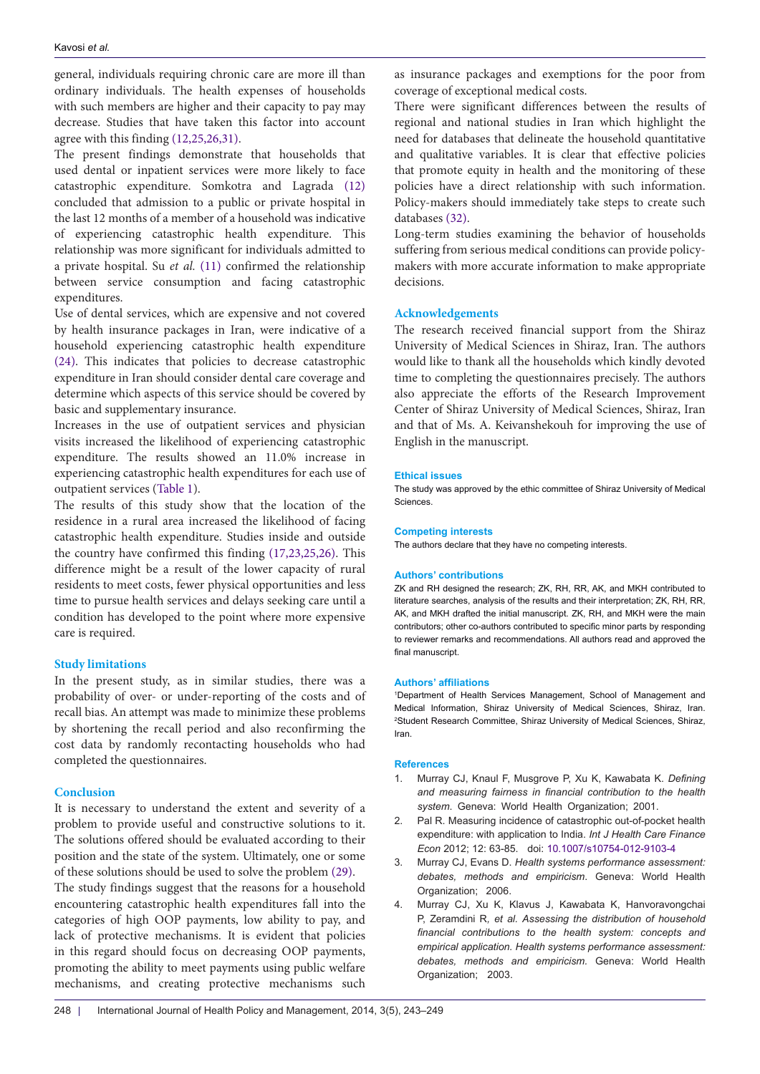general, individuals requiring chronic care are more ill than ordinary individuals. The health expenses of households with such members are higher and their capacity to pay may decrease. Studies that have taken this factor into account agree with this finding [\(12,](#page-6-7)[25,](#page-6-19)[26](#page-6-20),[31](#page-6-25)).

The present findings demonstrate that households that used dental or inpatient services were more likely to face catastrophic expenditure. Somkotra and Lagrada [\(12\)](#page-6-7) concluded that admission to a public or private hospital in the last 12 months of a member of a household was indicative of experiencing catastrophic health expenditure. This relationship was more significant for individuals admitted to a private hospital. Su *et al.* [\(11\)](#page-6-6) confirmed the relationship between service consumption and facing catastrophic expenditures.

Use of dental services, which are expensive and not covered by health insurance packages in Iran, were indicative of a household experiencing catastrophic health expenditure ([24\)](#page-6-18). This indicates that policies to decrease catastrophic expenditure in Iran should consider dental care coverage and determine which aspects of this service should be covered by basic and supplementary insurance.

Increases in the use of outpatient services and physician visits increased the likelihood of experiencing catastrophic expenditure. The results showed an 11.0% increase in experiencing catastrophic health expenditures for each use of outpatient services ([Table 1](#page-2-0)).

The results of this study show that the location of the residence in a rural area increased the likelihood of facing catastrophic health expenditure. Studies inside and outside the country have confirmed this finding [\(17,](#page-6-11)[23,](#page-6-17)[25,](#page-6-19)[26](#page-6-20)). This difference might be a result of the lower capacity of rural residents to meet costs, fewer physical opportunities and less time to pursue health services and delays seeking care until a condition has developed to the point where more expensive care is required.

# **Study limitations**

In the present study, as in similar studies, there was a probability of over- or under-reporting of the costs and of recall bias. An attempt was made to minimize these problems by shortening the recall period and also reconfirming the cost data by randomly recontacting households who had completed the questionnaires.

## **Conclusion**

It is necessary to understand the extent and severity of a problem to provide useful and constructive solutions to it. The solutions offered should be evaluated according to their position and the state of the system. Ultimately, one or some of these solutions should be used to solve the problem [\(29\)](#page-6-23).

The study findings suggest that the reasons for a household encountering catastrophic health expenditures fall into the categories of high OOP payments, low ability to pay, and lack of protective mechanisms. It is evident that policies in this regard should focus on decreasing OOP payments, promoting the ability to meet payments using public welfare mechanisms, and creating protective mechanisms such

as insurance packages and exemptions for the poor from coverage of exceptional medical costs.

There were significant differences between the results of regional and national studies in Iran which highlight the need for databases that delineate the household quantitative and qualitative variables. It is clear that effective policies that promote equity in health and the monitoring of these policies have a direct relationship with such information. Policy-makers should immediately take steps to create such databases ([32](#page-6-26)).

Long-term studies examining the behavior of households suffering from serious medical conditions can provide policymakers with more accurate information to make appropriate decisions.

# **Acknowledgements**

The research received financial support from the Shiraz University of Medical Sciences in Shiraz, Iran. The authors would like to thank all the households which kindly devoted time to completing the questionnaires precisely. The authors also appreciate the efforts of the Research Improvement Center of Shiraz University of Medical Sciences, Shiraz, Iran and that of Ms. A. Keivanshekouh for improving the use of English in the manuscript.

#### **Ethical issues**

The study was approved by the ethic committee of Shiraz University of Medical Sciences.

#### **Competing interests**

The authors declare that they have no competing interests.

#### **Authors' contributions**

ZK and RH designed the research; ZK, RH, RR, AK, and MKH contributed to literature searches, analysis of the results and their interpretation; ZK, RH, RR, AK, and MKH drafted the initial manuscript. ZK, RH, and MKH were the main contributors; other co-authors contributed to specific minor parts by responding to reviewer remarks and recommendations. All authors read and approved the final manuscript.

#### **Authors' affiliations**

<span id="page-5-1"></span><span id="page-5-0"></span>1 Department of Health Services Management, School of Management and Medical Information, Shiraz University of Medical Sciences, Shiraz, Iran. 2 Student Research Committee, Shiraz University of Medical Sciences, Shiraz, Iran.

#### **References**

- <span id="page-5-2"></span>1. Murray CJ, Knaul F, Musgrove P, Xu K, Kawabata K. *Defining and measuring fairness in financial contribution to the health system*. Geneva: World Health Organization; 2001.
- <span id="page-5-3"></span>2. Pal R. Measuring incidence of catastrophic out-of-pocket health expenditure: with application to India. *Int J Health Care Finance Econ* 2012; 12: 63-85. doi: [10.1007/s10754-012-9103-4](http://dx.doi.org/10.1007/s10754-012-9103-4)
- <span id="page-5-4"></span>3. Murray CJ, Evans D. *Health systems performance assessment: debates, methods and empiricism*. Geneva: World Health Organization; 2006.
- <span id="page-5-5"></span>4. Murray CJ, Xu K, Klavus J, Kawabata K, Hanvoravongchai P, Zeramdini R*, et al. Assessing the distribution of household financial contributions to the health system: concepts and empirical application. Health systems performance assessment: debates, methods and empiricism.* Geneva: World Health Organization; 2003.